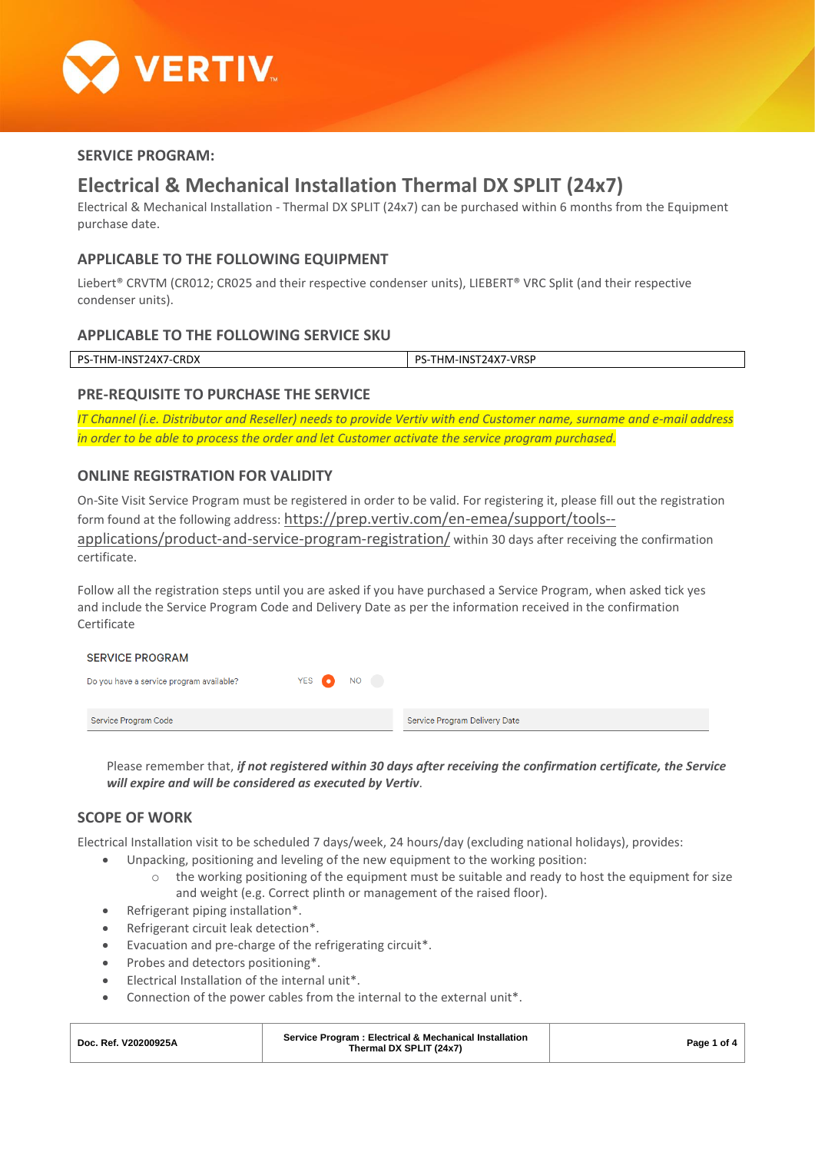

# **SERVICE PROGRAM:**

# **Electrical & Mechanical Installation Thermal DX SPLIT (24x7)**

Electrical & Mechanical Installation - Thermal DX SPLIT (24x7) can be purchased within 6 months from the Equipment purchase date.

# **APPLICABLE TO THE FOLLOWING EQUIPMENT**

Liebert<sup>®</sup> CRVTM (CR012; CR025 and their respective condenser units), LIEBERT<sup>®</sup> VRC Split (and their respective condenser units).

#### **APPLICABLE TO THE FOLLOWING SERVICE SKU**

| DS.<br>rnni<br>-1NF<br>M<br>⊶∩ ∟∧<br>– 7 N | <b>NRS'</b><br>DС<br>'4Х.<br>100-LNI<br>۲۰۱ ک<br>.<br>. . |
|--------------------------------------------|-----------------------------------------------------------|
|                                            |                                                           |

# **PRE-REQUISITE TO PURCHASE THE SERVICE**

*IT Channel (i.e. Distributor and Reseller) needs to provide Vertiv with end Customer name, surname and e-mail address in order to be able to process the order and let Customer activate the service program purchased.*

# **ONLINE REGISTRATION FOR VALIDITY**

On-Site Visit Service Program must be registered in order to be valid. For registering it, please fill out the registration form found at the following address: [https://prep.vertiv.com/en-emea/support/tools-](https://prep.vertiv.com/en-emea/support/tools--applications/product-and-service-program-registration/) [applications/product-and-service-program-registration/](https://prep.vertiv.com/en-emea/support/tools--applications/product-and-service-program-registration/) within 30 days after receiving the confirmation certificate.

Follow all the registration steps until you are asked if you have purchased a Service Program, when asked tick yes and include the Service Program Code and Delivery Date as per the information received in the confirmation Certificate

| <b>SERVICE PROGRAM</b>                   |           |                               |
|------------------------------------------|-----------|-------------------------------|
| Do you have a service program available? | YES ON NO |                               |
| Service Program Code                     |           | Service Program Delivery Date |

Please remember that, *if not registered within 30 days after receiving the confirmation certificate, the Service will expire and will be considered as executed by Vertiv*.

# **SCOPE OF WORK**

Electrical Installation visit to be scheduled 7 days/week, 24 hours/day (excluding national holidays), provides:

- Unpacking, positioning and leveling of the new equipment to the working position:
	- $\circ$  the working positioning of the equipment must be suitable and ready to host the equipment for size and weight (e.g. Correct plinth or management of the raised floor).
- Refrigerant piping installation\*.
- Refrigerant circuit leak detection\*.
- Evacuation and pre-charge of the refrigerating circuit\*.
- Probes and detectors positioning\*.
- Electrical Installation of the internal unit\*.
- Connection of the power cables from the internal to the external unit\*.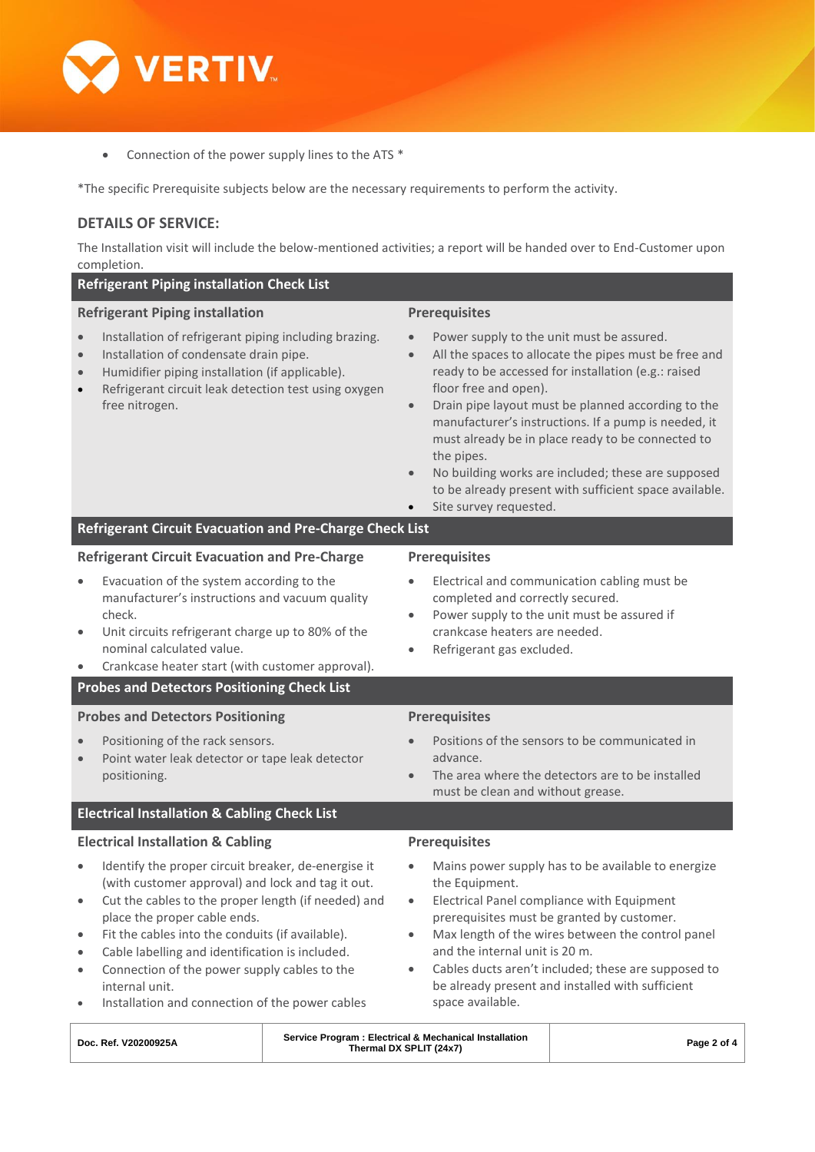

• Connection of the power supply lines to the ATS \*

\*The specific Prerequisite subjects below are the necessary requirements to perform the activity.

# **DETAILS OF SERVICE:**

The Installation visit will include the below-mentioned activities; a report will be handed over to End-Customer upon completion.

| <b>Refrigerant Piping installation Check List</b>                                                                                                                                                                                                                                                                                                                                                                                                                                                                                    |                                                                                                                                                                                                                                                                                                                                                                                                                                                                                                                                                                              |  |  |  |  |
|--------------------------------------------------------------------------------------------------------------------------------------------------------------------------------------------------------------------------------------------------------------------------------------------------------------------------------------------------------------------------------------------------------------------------------------------------------------------------------------------------------------------------------------|------------------------------------------------------------------------------------------------------------------------------------------------------------------------------------------------------------------------------------------------------------------------------------------------------------------------------------------------------------------------------------------------------------------------------------------------------------------------------------------------------------------------------------------------------------------------------|--|--|--|--|
| <b>Refrigerant Piping installation</b><br>Installation of refrigerant piping including brazing.<br>$\bullet$<br>Installation of condensate drain pipe.<br>$\bullet$<br>Humidifier piping installation (if applicable).<br>$\bullet$<br>Refrigerant circuit leak detection test using oxygen<br>$\bullet$<br>free nitrogen.                                                                                                                                                                                                           | <b>Prerequisites</b><br>Power supply to the unit must be assured.<br>All the spaces to allocate the pipes must be free and<br>$\bullet$<br>ready to be accessed for installation (e.g.: raised<br>floor free and open).<br>Drain pipe layout must be planned according to the<br>$\bullet$<br>manufacturer's instructions. If a pump is needed, it<br>must already be in place ready to be connected to<br>the pipes.<br>No building works are included; these are supposed<br>$\bullet$<br>to be already present with sufficient space available.<br>Site survey requested. |  |  |  |  |
| <b>Refrigerant Circuit Evacuation and Pre-Charge Check List</b>                                                                                                                                                                                                                                                                                                                                                                                                                                                                      |                                                                                                                                                                                                                                                                                                                                                                                                                                                                                                                                                                              |  |  |  |  |
| <b>Refrigerant Circuit Evacuation and Pre-Charge</b><br>Evacuation of the system according to the<br>$\bullet$<br>manufacturer's instructions and vacuum quality<br>check.<br>Unit circuits refrigerant charge up to 80% of the<br>$\bullet$<br>nominal calculated value.<br>Crankcase heater start (with customer approval).<br><b>Probes and Detectors Positioning Check List</b><br><b>Probes and Detectors Positioning</b>                                                                                                       | <b>Prerequisites</b><br>Electrical and communication cabling must be<br>$\bullet$<br>completed and correctly secured.<br>Power supply to the unit must be assured if<br>$\bullet$<br>crankcase heaters are needed.<br>Refrigerant gas excluded.<br>$\bullet$<br><b>Prerequisites</b>                                                                                                                                                                                                                                                                                         |  |  |  |  |
| Positioning of the rack sensors.<br>Point water leak detector or tape leak detector<br>$\bullet$<br>positioning.                                                                                                                                                                                                                                                                                                                                                                                                                     | Positions of the sensors to be communicated in<br>advance.<br>The area where the detectors are to be installed<br>$\bullet$<br>must be clean and without grease.                                                                                                                                                                                                                                                                                                                                                                                                             |  |  |  |  |
| <b>Electrical Installation &amp; Cabling Check List</b>                                                                                                                                                                                                                                                                                                                                                                                                                                                                              |                                                                                                                                                                                                                                                                                                                                                                                                                                                                                                                                                                              |  |  |  |  |
| <b>Electrical Installation &amp; Cabling</b><br>Identify the proper circuit breaker, de-energise it<br>(with customer approval) and lock and tag it out.<br>Cut the cables to the proper length (if needed) and<br>$\bullet$<br>place the proper cable ends.<br>Fit the cables into the conduits (if available).<br>$\bullet$<br>Cable labelling and identification is included.<br>$\bullet$<br>Connection of the power supply cables to the<br>$\bullet$<br>internal unit.<br>Installation and connection of the power cables<br>٠ | <b>Prerequisites</b><br>Mains power supply has to be available to energize<br>the Equipment.<br>Electrical Panel compliance with Equipment<br>$\bullet$<br>prerequisites must be granted by customer.<br>Max length of the wires between the control panel<br>$\bullet$<br>and the internal unit is 20 m.<br>Cables ducts aren't included; these are supposed to<br>$\bullet$<br>be already present and installed with sufficient<br>space available.                                                                                                                        |  |  |  |  |

| Doc. Ref. V20200925A | Service Program: Electrical & Mechanical Installation<br>Thermal DX SPLIT (24x7) | Page 2 of 4 |
|----------------------|----------------------------------------------------------------------------------|-------------|
|                      |                                                                                  |             |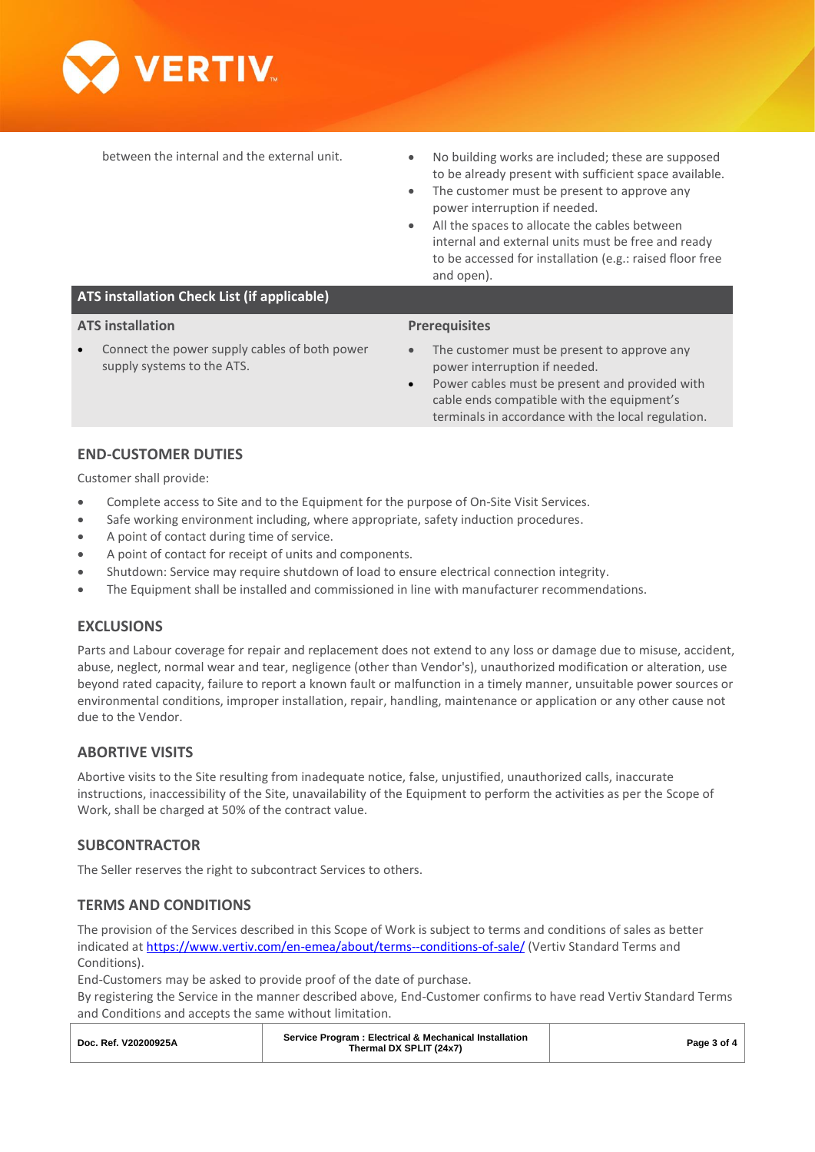

- between the internal and the external unit. • No building works are included; these are supposed to be already present with sufficient space available.
	- The customer must be present to approve any power interruption if needed.
	- All the spaces to allocate the cables between internal and external units must be free and ready to be accessed for installation (e.g.: raised floor free and open).

### **ATS installation Check List (if applicable)**

#### **ATS installation**

Connect the power supply cables of both power supply systems to the ATS.

#### **Prerequisites**

- The customer must be present to approve any power interruption if needed.
- Power cables must be present and provided with cable ends compatible with the equipment's terminals in accordance with the local regulation.

### **END-CUSTOMER DUTIES**

Customer shall provide:

- Complete access to Site and to the Equipment for the purpose of On-Site Visit Services.
- Safe working environment including, where appropriate, safety induction procedures.
- A point of contact during time of service.
- A point of contact for receipt of units and components.
- Shutdown: Service may require shutdown of load to ensure electrical connection integrity.
- The Equipment shall be installed and commissioned in line with manufacturer recommendations.

#### **EXCLUSIONS**

Parts and Labour coverage for repair and replacement does not extend to any loss or damage due to misuse, accident, abuse, neglect, normal wear and tear, negligence (other than Vendor's), unauthorized modification or alteration, use beyond rated capacity, failure to report a known fault or malfunction in a timely manner, unsuitable power sources or environmental conditions, improper installation, repair, handling, maintenance or application or any other cause not due to the Vendor.

#### **ABORTIVE VISITS**

Abortive visits to the Site resulting from inadequate notice, false, unjustified, unauthorized calls, inaccurate instructions, inaccessibility of the Site, unavailability of the Equipment to perform the activities as per the Scope of Work, shall be charged at 50% of the contract value.

# **SUBCONTRACTOR**

The Seller reserves the right to subcontract Services to others.

#### **TERMS AND CONDITIONS**

The provision of the Services described in this Scope of Work is subject to terms and conditions of sales as better indicated at<https://www.vertiv.com/en-emea/about/terms--conditions-of-sale/> (Vertiv Standard Terms and Conditions).

End-Customers may be asked to provide proof of the date of purchase.

By registering the Service in the manner described above, End-Customer confirms to have read Vertiv Standard Terms and Conditions and accepts the same without limitation.

| Service Program: Electrical & Mechanical Installation<br>Doc. Ref. V20200925A<br>Page 3 of 4<br>Thermal DX SPLIT (24x7) |
|-------------------------------------------------------------------------------------------------------------------------|
|-------------------------------------------------------------------------------------------------------------------------|